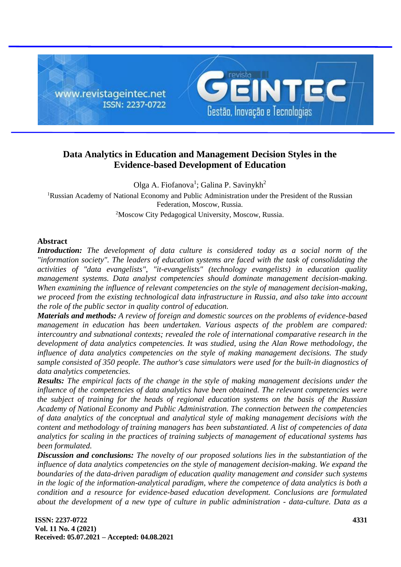

# **Data Analytics in Education and Management Decision Styles in the Evidence-based Development of Education**

Olga A. Fiofanova<sup>1</sup>; Galina P. Savinykh<sup>2</sup> <sup>1</sup>Russian Academy of National Economy and Public Administration under the President of the Russian Federation, Moscow, Russia. <sup>2</sup>Moscow City Pedagogical University, Moscow, Russia.

### **Abstract**

*Introduction: The development of data culture is considered today as a social norm of the "information society". The leaders of education systems are faced with the task of consolidating the activities of "data evangelists", "it-evangelists" (technology evangelists) in education quality management systems. Data analyst competencies should dominate management decision-making. When examining the influence of relevant competencies on the style of management decision-making, we proceed from the existing technological data infrastructure in Russia, and also take into account the role of the public sector in quality control of education.*

*Materials and methods: A review of foreign and domestic sources on the problems of evidence-based management in education has been undertaken. Various aspects of the problem are compared: intercountry and subnational contexts; revealed the role of international comparative research in the development of data analytics competencies. It was studied, using the Alan Rowe methodology, the influence of data analytics competencies on the style of making management decisions. The study sample consisted of 350 people. The author's case simulators were used for the built-in diagnostics of data analytics competencies.*

*Results: The empirical facts of the change in the style of making management decisions under the influence of the competencies of data analytics have been obtained. The relevant competencies were the subject of training for the heads of regional education systems on the basis of the Russian Academy of National Economy and Public Administration. The connection between the competencies of data analytics of the conceptual and analytical style of making management decisions with the content and methodology of training managers has been substantiated. A list of competencies of data analytics for scaling in the practices of training subjects of management of educational systems has been formulated.*

*Discussion and conclusions: The novelty of our proposed solutions lies in the substantiation of the influence of data analytics competencies on the style of management decision-making. We expand the boundaries of the data-driven paradigm of education quality management and consider such systems in the logic of the information-analytical paradigm, where the competence of data analytics is both a condition and a resource for evidence-based education development. Conclusions are formulated about the development of a new type of culture in public administration - data-culture. Data as a*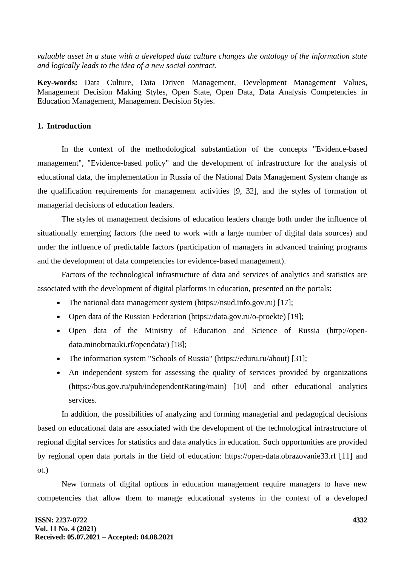*valuable asset in a state with a developed data culture changes the ontology of the information state and logically leads to the idea of a new social contract.*

**Key-words:** Data Culture, Data Driven Management, Development Management Values, Management Decision Making Styles, Open State, Open Data, Data Analysis Competencies in Education Management, Management Decision Styles.

### **1. Introduction**

In the context of the methodological substantiation of the concepts "Evidence-based management", "Evidence-based policy" and the development of infrastructure for the analysis of educational data, the implementation in Russia of the National Data Management System change as the qualification requirements for management activities [9, 32], and the styles of formation of managerial decisions of education leaders.

The styles of management decisions of education leaders change both under the influence of situationally emerging factors (the need to work with a large number of digital data sources) and under the influence of predictable factors (participation of managers in advanced training programs and the development of data competencies for evidence-based management).

Factors of the technological infrastructure of data and services of analytics and statistics are associated with the development of digital platforms in education, presented on the portals:

- The national data management system (https://nsud.info.gov.ru) [17];
- Open data of the Russian Federation (https://data.gov.ru/o-proekte) [19];
- Open data of the Ministry of Education and Science of Russia (http://opendata.minobrnauki.rf/opendata/) [18];
- The information system "Schools of Russia" (https://eduru.ru/about) [31];
- An independent system for assessing the quality of services provided by organizations (https://bus.gov.ru/pub/independentRating/main) [10] and other educational analytics services.

In addition, the possibilities of analyzing and forming managerial and pedagogical decisions based on educational data are associated with the development of the technological infrastructure of regional digital services for statistics and data analytics in education. Such opportunities are provided by regional open data portals in the field of education: https://open-data.obrazovanie33.rf [11] and ot.)

New formats of digital options in education management require managers to have new competencies that allow them to manage educational systems in the context of a developed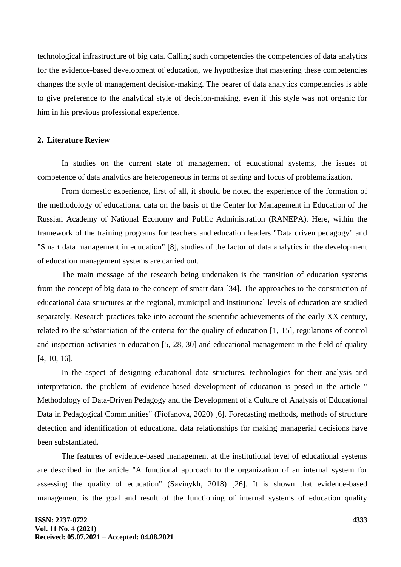technological infrastructure of big data. Calling such competencies the competencies of data analytics for the evidence-based development of education, we hypothesize that mastering these competencies changes the style of management decision-making. The bearer of data analytics competencies is able to give preference to the analytical style of decision-making, even if this style was not organic for him in his previous professional experience.

#### **2. Literature Review**

In studies on the current state of management of educational systems, the issues of competence of data analytics are heterogeneous in terms of setting and focus of problematization.

From domestic experience, first of all, it should be noted the experience of the formation of the methodology of educational data on the basis of the Center for Management in Education of the Russian Academy of National Economy and Public Administration (RANEPA). Here, within the framework of the training programs for teachers and education leaders "Data driven pedagogy" and "Smart data management in education" [8], studies of the factor of data analytics in the development of education management systems are carried out.

The main message of the research being undertaken is the transition of education systems from the concept of big data to the concept of smart data [34]. The approaches to the construction of educational data structures at the regional, municipal and institutional levels of education are studied separately. Research practices take into account the scientific achievements of the early XX century, related to the substantiation of the criteria for the quality of education [1, 15], regulations of control and inspection activities in education [5, 28, 30] and educational management in the field of quality [4, 10, 16].

In the aspect of designing educational data structures, technologies for their analysis and interpretation, the problem of evidence-based development of education is posed in the article " Methodology of Data-Driven Pedagogy and the Development of a Culture of Analysis of Educational Data in Pedagogical Communities" (Fiofanova, 2020) [6]. Forecasting methods, methods of structure detection and identification of educational data relationships for making managerial decisions have been substantiated.

The features of evidence-based management at the institutional level of educational systems are described in the article "A functional approach to the organization of an internal system for assessing the quality of education" (Savinykh, 2018) [26]. It is shown that evidence-based management is the goal and result of the functioning of internal systems of education quality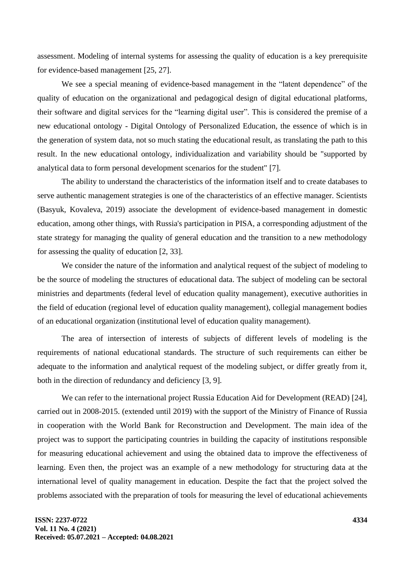assessment. Modeling of internal systems for assessing the quality of education is a key prerequisite for evidence-based management [25, 27].

We see a special meaning of evidence-based management in the "latent dependence" of the quality of education on the organizational and pedagogical design of digital educational platforms, their software and digital services for the "learning digital user". This is considered the premise of a new educational ontology - Digital Ontology of Personalized Education, the essence of which is in the generation of system data, not so much stating the educational result, as translating the path to this result. In the new educational ontology, individualization and variability should be "supported by analytical data to form personal development scenarios for the student" [7].

The ability to understand the characteristics of the information itself and to create databases to serve authentic management strategies is one of the characteristics of an effective manager. Scientists (Basyuk, Kovaleva, 2019) associate the development of evidence-based management in domestic education, among other things, with Russia's participation in PISA, a corresponding adjustment of the state strategy for managing the quality of general education and the transition to a new methodology for assessing the quality of education [2, 33].

We consider the nature of the information and analytical request of the subject of modeling to be the source of modeling the structures of educational data. The subject of modeling can be sectoral ministries and departments (federal level of education quality management), executive authorities in the field of education (regional level of education quality management), collegial management bodies of an educational organization (institutional level of education quality management).

The area of intersection of interests of subjects of different levels of modeling is the requirements of national educational standards. The structure of such requirements can either be adequate to the information and analytical request of the modeling subject, or differ greatly from it, both in the direction of redundancy and deficiency [3, 9].

We can refer to the international project Russia Education Aid for Development (READ) [24], carried out in 2008-2015. (extended until 2019) with the support of the Ministry of Finance of Russia in cooperation with the World Bank for Reconstruction and Development. The main idea of the project was to support the participating countries in building the capacity of institutions responsible for measuring educational achievement and using the obtained data to improve the effectiveness of learning. Even then, the project was an example of a new methodology for structuring data at the international level of quality management in education. Despite the fact that the project solved the problems associated with the preparation of tools for measuring the level of educational achievements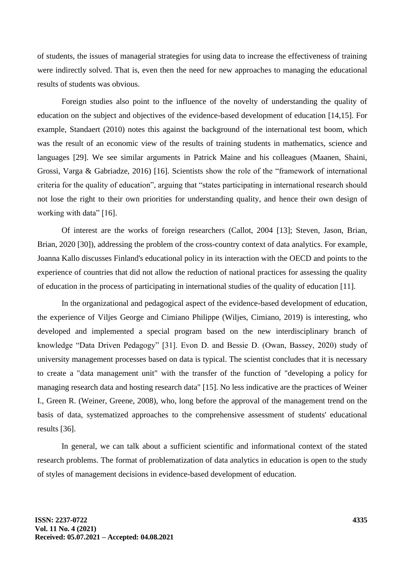of students, the issues of managerial strategies for using data to increase the effectiveness of training were indirectly solved. That is, even then the need for new approaches to managing the educational results of students was obvious.

Foreign studies also point to the influence of the novelty of understanding the quality of education on the subject and objectives of the evidence-based development of education [14,15]. For example, Standaert (2010) notes this against the background of the international test boom, which was the result of an economic view of the results of training students in mathematics, science and languages [29]. We see similar arguments in Patrick Maine and his colleagues (Maanen, Shaini, Grossi, Varga & Gabriadze, 2016) [16]. Scientists show the role of the "framework of international criteria for the quality of education", arguing that "states participating in international research should not lose the right to their own priorities for understanding quality, and hence their own design of working with data" [16].

Of interest are the works of foreign researchers (Callot, 2004 [13]; Steven, Jason, Brian, Brian, 2020 [30]), addressing the problem of the cross-country context of data analytics. For example, Joanna Kallo discusses Finland's educational policy in its interaction with the OECD and points to the experience of countries that did not allow the reduction of national practices for assessing the quality of education in the process of participating in international studies of the quality of education [11].

In the organizational and pedagogical aspect of the evidence-based development of education, the experience of Viljes George and Cimiano Philippe (Wiljes, Cimiano, 2019) is interesting, who developed and implemented a special program based on the new interdisciplinary branch of knowledge "Data Driven Pedagogy" [31]. Evon D. and Bessie D. (Owan, Bassey, 2020) study of university management processes based on data is typical. The scientist concludes that it is necessary to create a "data management unit" with the transfer of the function of "developing a policy for managing research data and hosting research data" [15]. No less indicative are the practices of Weiner I., Green R. (Weiner, Greene, 2008), who, long before the approval of the management trend on the basis of data, systematized approaches to the comprehensive assessment of students' educational results [36].

In general, we can talk about a sufficient scientific and informational context of the stated research problems. The format of problematization of data analytics in education is open to the study of styles of management decisions in evidence-based development of education.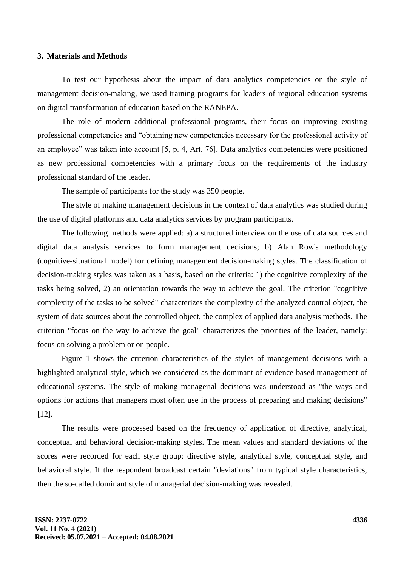#### **3. Materials and Methods**

To test our hypothesis about the impact of data analytics competencies on the style of management decision-making, we used training programs for leaders of regional education systems on digital transformation of education based on the RANEPA.

The role of modern additional professional programs, their focus on improving existing professional competencies and "obtaining new competencies necessary for the professional activity of an employee" was taken into account [5, p. 4, Art. 76]. Data analytics competencies were positioned as new professional competencies with a primary focus on the requirements of the industry professional standard of the leader.

The sample of participants for the study was 350 people.

The style of making management decisions in the context of data analytics was studied during the use of digital platforms and data analytics services by program participants.

The following methods were applied: a) a structured interview on the use of data sources and digital data analysis services to form management decisions; b) Alan Row's methodology (cognitive-situational model) for defining management decision-making styles. The classification of decision-making styles was taken as a basis, based on the criteria: 1) the cognitive complexity of the tasks being solved, 2) an orientation towards the way to achieve the goal. The criterion "cognitive complexity of the tasks to be solved" characterizes the complexity of the analyzed control object, the system of data sources about the controlled object, the complex of applied data analysis methods. The criterion "focus on the way to achieve the goal" characterizes the priorities of the leader, namely: focus on solving a problem or on people.

Figure 1 shows the criterion characteristics of the styles of management decisions with a highlighted analytical style, which we considered as the dominant of evidence-based management of educational systems. The style of making managerial decisions was understood as "the ways and options for actions that managers most often use in the process of preparing and making decisions" [12].

The results were processed based on the frequency of application of directive, analytical, conceptual and behavioral decision-making styles. The mean values and standard deviations of the scores were recorded for each style group: directive style, analytical style, conceptual style, and behavioral style. If the respondent broadcast certain "deviations" from typical style characteristics, then the so-called dominant style of managerial decision-making was revealed.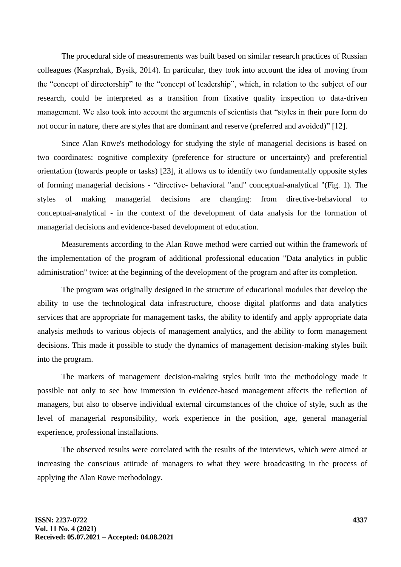The procedural side of measurements was built based on similar research practices of Russian colleagues (Kasprzhak, Bysik, 2014). In particular, they took into account the idea of moving from the "concept of directorship" to the "concept of leadership", which, in relation to the subject of our research, could be interpreted as a transition from fixative quality inspection to data-driven management. We also took into account the arguments of scientists that "styles in their pure form do not occur in nature, there are styles that are dominant and reserve (preferred and avoided)" [12].

Since Alan Rowe's methodology for studying the style of managerial decisions is based on two coordinates: cognitive complexity (preference for structure or uncertainty) and preferential orientation (towards people or tasks) [23], it allows us to identify two fundamentally opposite styles of forming managerial decisions - "directive- behavioral "and" conceptual-analytical "(Fig. 1). The styles of making managerial decisions are changing: from directive-behavioral to conceptual-analytical - in the context of the development of data analysis for the formation of managerial decisions and evidence-based development of education.

Measurements according to the Alan Rowe method were carried out within the framework of the implementation of the program of additional professional education "Data analytics in public administration" twice: at the beginning of the development of the program and after its completion.

The program was originally designed in the structure of educational modules that develop the ability to use the technological data infrastructure, choose digital platforms and data analytics services that are appropriate for management tasks, the ability to identify and apply appropriate data analysis methods to various objects of management analytics, and the ability to form management decisions. This made it possible to study the dynamics of management decision-making styles built into the program.

The markers of management decision-making styles built into the methodology made it possible not only to see how immersion in evidence-based management affects the reflection of managers, but also to observe individual external circumstances of the choice of style, such as the level of managerial responsibility, work experience in the position, age, general managerial experience, professional installations.

The observed results were correlated with the results of the interviews, which were aimed at increasing the conscious attitude of managers to what they were broadcasting in the process of applying the Alan Rowe methodology.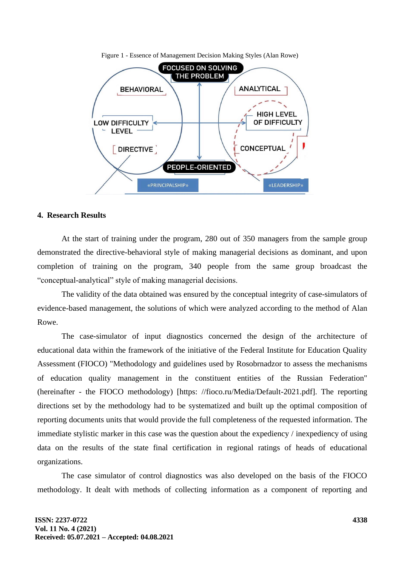

Figure 1 - Essence of Management Decision Making Styles (Alan Rowe)

### **4. Research Results**

At the start of training under the program, 280 out of 350 managers from the sample group demonstrated the directive-behavioral style of making managerial decisions as dominant, and upon completion of training on the program, 340 people from the same group broadcast the "conceptual-analytical" style of making managerial decisions.

The validity of the data obtained was ensured by the conceptual integrity of case-simulators of evidence-based management, the solutions of which were analyzed according to the method of Alan Rowe.

The case-simulator of input diagnostics concerned the design of the architecture of educational data within the framework of the initiative of the Federal Institute for Education Quality Assessment (FIOCO) "Methodology and guidelines used by Rosobrnadzor to assess the mechanisms of education quality management in the constituent entities of the Russian Federation" (hereinafter - the FIOCO methodology) [https: //fioco.ru/Media/Default-2021.pdf]. The reporting directions set by the methodology had to be systematized and built up the optimal composition of reporting documents units that would provide the full completeness of the requested information. The immediate stylistic marker in this case was the question about the expediency / inexpediency of using data on the results of the state final certification in regional ratings of heads of educational organizations.

The case simulator of control diagnostics was also developed on the basis of the FIOCO methodology. It dealt with methods of collecting information as a component of reporting and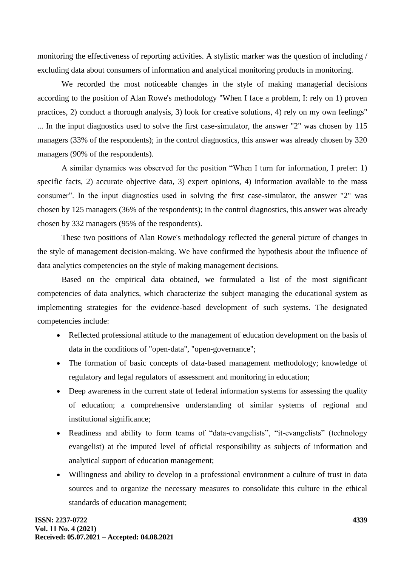monitoring the effectiveness of reporting activities. A stylistic marker was the question of including / excluding data about consumers of information and analytical monitoring products in monitoring.

We recorded the most noticeable changes in the style of making managerial decisions according to the position of Alan Rowe's methodology "When I face a problem, I: rely on 1) proven practices, 2) conduct a thorough analysis, 3) look for creative solutions, 4) rely on my own feelings" ... In the input diagnostics used to solve the first case-simulator, the answer "2" was chosen by 115 managers (33% of the respondents); in the control diagnostics, this answer was already chosen by 320 managers (90% of the respondents).

A similar dynamics was observed for the position "When I turn for information, I prefer: 1) specific facts, 2) accurate objective data, 3) expert opinions, 4) information available to the mass consumer". In the input diagnostics used in solving the first case-simulator, the answer "2" was chosen by 125 managers (36% of the respondents); in the control diagnostics, this answer was already chosen by 332 managers (95% of the respondents).

These two positions of Alan Rowe's methodology reflected the general picture of changes in the style of management decision-making. We have confirmed the hypothesis about the influence of data analytics competencies on the style of making management decisions.

Based on the empirical data obtained, we formulated a list of the most significant competencies of data analytics, which characterize the subject managing the educational system as implementing strategies for the evidence-based development of such systems. The designated competencies include:

- Reflected professional attitude to the management of education development on the basis of data in the conditions of "open-data", "open-governance";
- The formation of basic concepts of data-based management methodology; knowledge of regulatory and legal regulators of assessment and monitoring in education;
- Deep awareness in the current state of federal information systems for assessing the quality of education; a comprehensive understanding of similar systems of regional and institutional significance;
- Readiness and ability to form teams of "data-evangelists", "it-evangelists" (technology evangelist) at the imputed level of official responsibility as subjects of information and analytical support of education management;
- Willingness and ability to develop in a professional environment a culture of trust in data sources and to organize the necessary measures to consolidate this culture in the ethical standards of education management;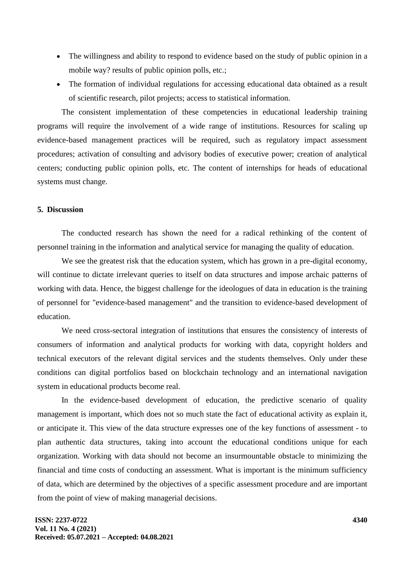- The willingness and ability to respond to evidence based on the study of public opinion in a mobile way? results of public opinion polls, etc.;
- The formation of individual regulations for accessing educational data obtained as a result of scientific research, pilot projects; access to statistical information.

The consistent implementation of these competencies in educational leadership training programs will require the involvement of a wide range of institutions. Resources for scaling up evidence-based management practices will be required, such as regulatory impact assessment procedures; activation of consulting and advisory bodies of executive power; creation of analytical centers; conducting public opinion polls, etc. The content of internships for heads of educational systems must change.

### **5. Discussion**

The conducted research has shown the need for a radical rethinking of the content of personnel training in the information and analytical service for managing the quality of education.

We see the greatest risk that the education system, which has grown in a pre-digital economy, will continue to dictate irrelevant queries to itself on data structures and impose archaic patterns of working with data. Hence, the biggest challenge for the ideologues of data in education is the training of personnel for "evidence-based management" and the transition to evidence-based development of education.

We need cross-sectoral integration of institutions that ensures the consistency of interests of consumers of information and analytical products for working with data, copyright holders and technical executors of the relevant digital services and the students themselves. Only under these conditions can digital portfolios based on blockchain technology and an international navigation system in educational products become real.

In the evidence-based development of education, the predictive scenario of quality management is important, which does not so much state the fact of educational activity as explain it, or anticipate it. This view of the data structure expresses one of the key functions of assessment - to plan authentic data structures, taking into account the educational conditions unique for each organization. Working with data should not become an insurmountable obstacle to minimizing the financial and time costs of conducting an assessment. What is important is the minimum sufficiency of data, which are determined by the objectives of a specific assessment procedure and are important from the point of view of making managerial decisions.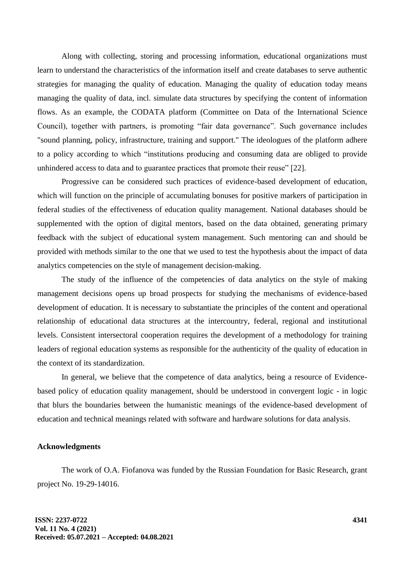Along with collecting, storing and processing information, educational organizations must learn to understand the characteristics of the information itself and create databases to serve authentic strategies for managing the quality of education. Managing the quality of education today means managing the quality of data, incl. simulate data structures by specifying the content of information flows. As an example, the CODATA platform (Committee on Data of the International Science Council), together with partners, is promoting "fair data governance". Such governance includes "sound planning, policy, infrastructure, training and support." The ideologues of the platform adhere to a policy according to which "institutions producing and consuming data are obliged to provide unhindered access to data and to guarantee practices that promote their reuse" [22].

Progressive can be considered such practices of evidence-based development of education, which will function on the principle of accumulating bonuses for positive markers of participation in federal studies of the effectiveness of education quality management. National databases should be supplemented with the option of digital mentors, based on the data obtained, generating primary feedback with the subject of educational system management. Such mentoring can and should be provided with methods similar to the one that we used to test the hypothesis about the impact of data analytics competencies on the style of management decision-making.

The study of the influence of the competencies of data analytics on the style of making management decisions opens up broad prospects for studying the mechanisms of evidence-based development of education. It is necessary to substantiate the principles of the content and operational relationship of educational data structures at the intercountry, federal, regional and institutional levels. Consistent intersectoral cooperation requires the development of a methodology for training leaders of regional education systems as responsible for the authenticity of the quality of education in the context of its standardization.

In general, we believe that the competence of data analytics, being a resource of Evidencebased policy of education quality management, should be understood in convergent logic - in logic that blurs the boundaries between the humanistic meanings of the evidence-based development of education and technical meanings related with software and hardware solutions for data analysis.

# **Acknowledgments**

The work of O.A. Fiofanova was funded by the Russian Foundation for Basic Research, grant project No. 19-29-14016.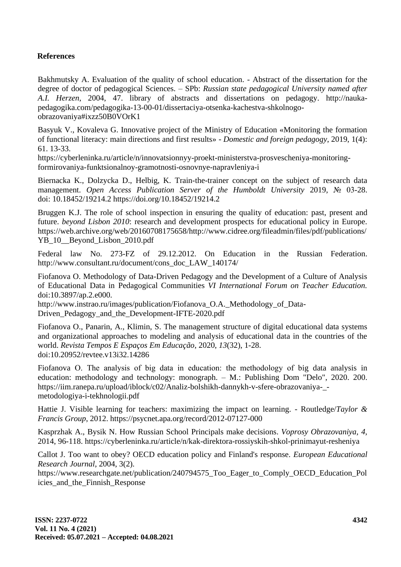# **References**

Bakhmutsky A. Evaluation of the quality of school education. - Abstract of the dissertation for the degree of doctor of pedagogical Sciences. – SPb: *Russian state pedagogical University named after A.I. Herzen*, 2004, 47. library of abstracts and dissertations on pedagogy. http://naukapedagogika.com/pedagogika-13-00-01/dissertaciya-otsenka-kachestva-shkolnogoobrazovaniya#ixzz50B0VOrK1

Basyuk V., Kovaleva G. Innovative project of the Ministry of Education «Monitoring the formation of functional literacy: main directions and first results» - *Domestic and foreign pedagogy*, 2019, 1(4): 61. 13-33.

https://cyberleninka.ru/article/n/innovatsionnyy-proekt-ministerstva-prosvescheniya-monitoringformirovaniya-funktsionalnoy-gramotnosti-osnovnye-napravleniya-i

Biernacka K., Dolzycka D., Helbig, K. Train-the-trainer concept on the subject of research data management. *Open Access Publication Server of the Humboldt University* 2019, № 03-28. doi: 10.18452/19214.2 https://doi.org/10.18452/19214.2

Bruggen K.J. The role of school inspection in ensuring the quality of education: past, present and future. *beyond Lisbon 2010*: research and development prospects for educational policy in Europe. https://web.archive.org/web/20160708175658/http://www.cidree.org/fileadmin/files/pdf/publications/ YB\_10\_\_Beyond\_Lisbon\_2010.pdf

Federal law No. 273-FZ of 29.12.2012. On Education in the Russian Federation. http://www.consultant.ru/document/cons\_doc\_LAW\_140174/

Fiofanova O. Methodology of Data-Driven Pedagogy and the Development of a Culture of Analysis of Educational Data in Pedagogical Communities *VI International Forum on Teacher Education.* doi:10.3897/ap.2.e000.

http://www.instrao.ru/images/publication/Fiofanova\_O.A.\_Methodology\_of\_Data-Driven Pedagogy and the Development-IFTE-2020.pdf

Fiofanova O., Panarin, A., Klimin, S. The management structure of digital educational data systems and organizational approaches to modeling and analysis of educational data in the countries of the world. *Revista Tempos E Espaços Em Educação*, 2020, *13*(32), 1-28. doi:10.20952/revtee.v13i32.14286

Fiofanova О. The analysis of big data in education: the methodology of big data analysis in education: methodology and technology: monograph. – M.: Publishing Dom "Delo", 2020. 200. https://iim.ranepa.ru/upload/iblock/c02/Analiz-bolshikh-dannykh-v-sfere-obrazovaniya-\_ metodologiya-i-tekhnologii.pdf

Hattie J. Visible learning for teachers: maximizing the impact on learning. - Routledge/*Taylor & Francis Group*, 2012. https://psycnet.apa.org/record/2012-07127-000

Kasprzhak A., Bysik N. How Russian School Principals make decisions. *Voprosy Obrazovaniya, 4,* 2014, 96-118. https://cyberleninka.ru/article/n/kak-direktora-rossiyskih-shkol-prinimayut-resheniya

Callot J. Too want to obey? OECD education policy and Finland's response. *European Educational Research Journal*, 2004, 3(2).

https://www.researchgate.net/publication/240794575\_Too\_Eager\_to\_Comply\_OECD\_Education\_Pol icies and the Finnish Response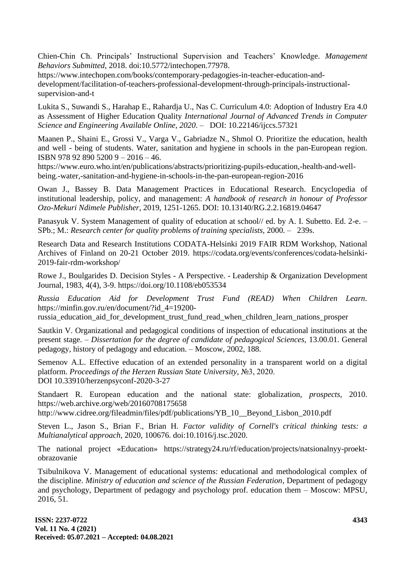Chien-Chin Ch. Principals' Instructional Supervision and Teachers' Knowledge. *Management Behaviors Submitted,* 2018. doi:10.5772/intechopen.77978.

https://www.intechopen.com/books/contemporary-pedagogies-in-teacher-education-anddevelopment/facilitation-of-teachers-professional-development-through-principals-instructionalsupervision-and-t

Lukita S., Suwandi S., Harahap E., Rahardja U., Nas C. Curriculum 4.0: Adoption of Industry Era 4.0 as Assessment of Higher Education Quality *International Journal of Advanced Trends in Computer Science and Engineering Available Online, 2020*. – DOI: 10.22146/ijccs.57321

Maanen P., Shaini E., Grossi V., Varga V., Gabriadze N., Shmol O. Prioritize the education, health and well - being of students. Water, sanitation and hygiene in schools in the pan-European region. ISBN 978 92 890 5200 9 – 2016 – 46.

https://www.euro.who.int/en/publications/abstracts/prioritizing-pupils-education,-health-and-wellbeing.-water,-sanitation-and-hygiene-in-schools-in-the-pan-european-region-2016

Owan J., Bassey B. Data Management Practices in Educational Research. Encyclopedia of institutional leadership, policy, and management: *A handbook of research in honour of Professor Ozo-Mekuri Ndimele Publisher*, 2019, 1251-1265. DOI: 10.13140/RG.2.2.16819.04647

Panasyuk V. System Management of quality of education at school// ed. by A. I. Subetto. Ed. 2-e. – SPb.; M.: *Research center for quality problems of training specialists, 2000.* – 239s.

Research Data and Research Institutions CODATA-Helsinki 2019 FAIR RDM Workshop, National Archives of Finland on 20-21 October 2019. https://codata.org/events/conferences/codata-helsinki-2019-fair-rdm-workshop/

Rowe J., Boulgarides D. Decision Styles - A Perspective. - Leadership & Organization Development Journal, 1983, 4(4), 3-9. https://doi.org/10.1108/eb053534

*Russia Education Aid for Development Trust Fund (READ) When Children Learn.* https://minfin.gov.ru/en/document/?id\_4=19200-

russia education aid for development trust fund read when children learn nations prosper

Sautkin V. Organizational and pedagogical conditions of inspection of educational institutions at the present stage. – *Dissertation for the degree of candidate of pedagogical Sciences,* 13.00.01. General pedagogy, history of pedagogy and education. – Moscow, 2002, 188.

Semenov A.L. Effective education of an extended personality in a transparent world on a digital platform. *Proceedings of the Herzen Russian State University,* №3, 2020. DOI 10.33910/herzenpsyconf-2020-3-27

Standaert R. European education and the national state: globalization, *prospects,* 2010. https://web.archive.org/web/20160708175658

http://www.cidree.org/fileadmin/files/pdf/publications/YB\_10\_\_Beyond\_Lisbon\_2010.pdf

Steven L., Jason S., Brian F., Brian H. *Factor validity of Cornell's critical thinking tests: a Multianalytical approach,* 2020, 100676. doi:10.1016/j.tsc.2020.

The national project «Education» https://strategy24.ru/rf/education/projects/natsionalnyy-proektobrazovanie

Tsibulnikova V. Management of educational systems: educational and methodological complex of the discipline. *Ministry of education and science of the Russian Federation*, Department of pedagogy and psychology, Department of pedagogy and psychology prof. education them – Moscow: MPSU, 2016, 51.